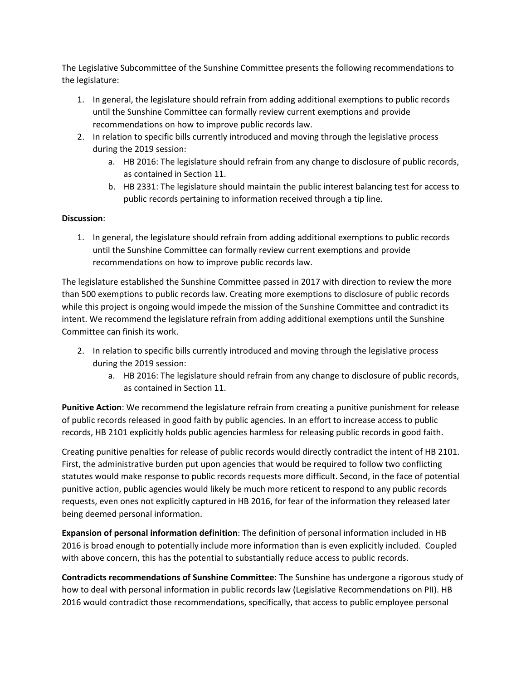The Legislative Subcommittee of the Sunshine Committee presents the following recommendations to the legislature:

- 1. In general, the legislature should refrain from adding additional exemptions to public records until the Sunshine Committee can formally review current exemptions and provide recommendations on how to improve public records law.
- 2. In relation to specific bills currently introduced and moving through the legislative process during the 2019 session:
	- a. HB 2016: The legislature should refrain from any change to disclosure of public records, as contained in Section 11.
	- b. HB 2331: The legislature should maintain the public interest balancing test for access to public records pertaining to information received through a tip line.

## **Discussion**:

1. In general, the legislature should refrain from adding additional exemptions to public records until the Sunshine Committee can formally review current exemptions and provide recommendations on how to improve public records law.

The legislature established the Sunshine Committee passed in 2017 with direction to review the more than 500 exemptions to public records law. Creating more exemptions to disclosure of public records while this project is ongoing would impede the mission of the Sunshine Committee and contradict its intent. We recommend the legislature refrain from adding additional exemptions until the Sunshine Committee can finish its work.

- 2. In relation to specific bills currently introduced and moving through the legislative process during the 2019 session:
	- a. HB 2016: The legislature should refrain from any change to disclosure of public records, as contained in Section 11.

**Punitive Action**: We recommend the legislature refrain from creating a punitive punishment for release of public records released in good faith by public agencies. In an effort to increase access to public records, HB 2101 explicitly holds public agencies harmless for releasing public records in good faith.

Creating punitive penalties for release of public records would directly contradict the intent of HB 2101. First, the administrative burden put upon agencies that would be required to follow two conflicting statutes would make response to public records requests more difficult. Second, in the face of potential punitive action, public agencies would likely be much more reticent to respond to any public records requests, even ones not explicitly captured in HB 2016, for fear of the information they released later being deemed personal information.

**Expansion of personal information definition**: The definition of personal information included in HB 2016 is broad enough to potentially include more information than is even explicitly included. Coupled with above concern, this has the potential to substantially reduce access to public records.

**Contradicts recommendations of Sunshine Committee**: The Sunshine has undergone a rigorous study of how to deal with personal information in public records law (Legislative Recommendations on PII). HB 2016 would contradict those recommendations, specifically, that access to public employee personal